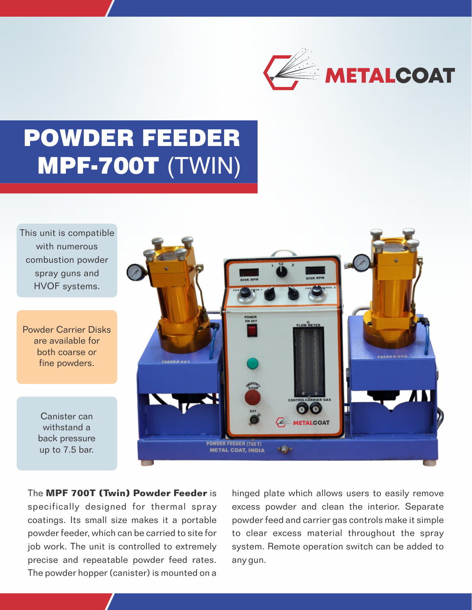

# POWDER FEEDER MPF-700T (TWIN)

This unit is compatible with numerous combustion powder spray guns and HVOF systems.

Powder Carrier Disks are available for both coarse or fine powders.

> Canister can withstand a back pressure up to 7.5 bar.



The **MPF 700T (Twin) Powder Feeder** is specifically designed for thermal spray coatings. Its small size makes it a portable powder feeder, which can be carried to site for job work. The unit is controlled to extremely precise and repeatable powder feed rates. The powder hopper (canister) is mounted on a

hinged plate which allows users to easily remove excess powder and clean the interior. Separate powder feed and carrier gas controls make it simple to clear excess material throughout the spray system. Remote operation switch can be added to any gun.